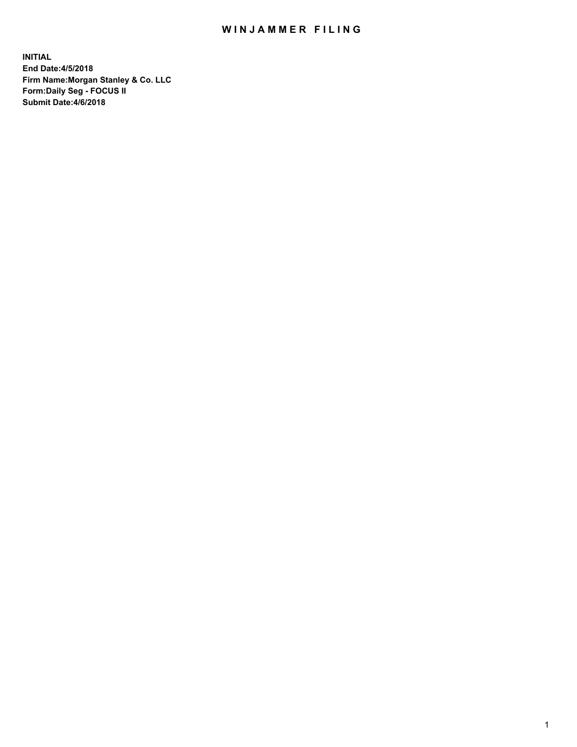## WIN JAMMER FILING

**INITIAL End Date:4/5/2018 Firm Name:Morgan Stanley & Co. LLC Form:Daily Seg - FOCUS II Submit Date:4/6/2018**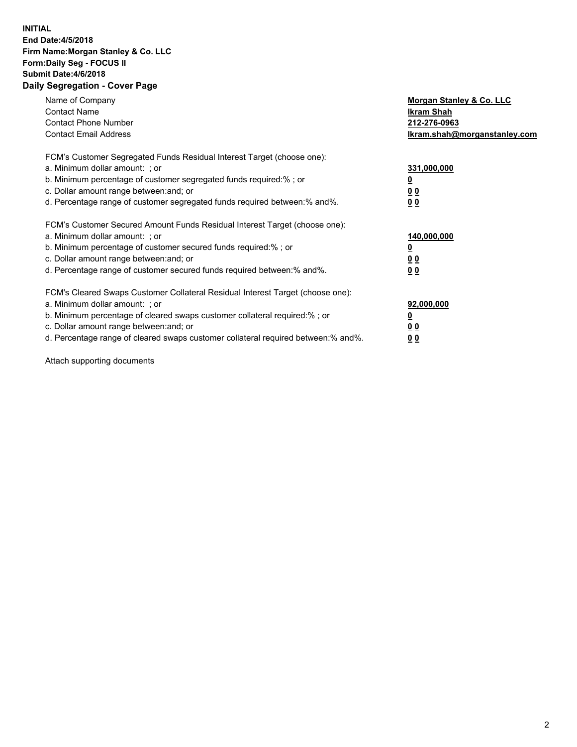## **INITIAL End Date:4/5/2018 Firm Name:Morgan Stanley & Co. LLC Form:Daily Seg - FOCUS II Submit Date:4/6/2018 Daily Segregation - Cover Page**

| Name of Company<br><b>Contact Name</b><br><b>Contact Phone Number</b><br><b>Contact Email Address</b>                                                                                                                                                                                                                         | Morgan Stanley & Co. LLC<br>Ikram Shah<br>212-276-0963<br>lkram.shah@morganstanley.com |
|-------------------------------------------------------------------------------------------------------------------------------------------------------------------------------------------------------------------------------------------------------------------------------------------------------------------------------|----------------------------------------------------------------------------------------|
| FCM's Customer Segregated Funds Residual Interest Target (choose one):<br>a. Minimum dollar amount: ; or<br>b. Minimum percentage of customer segregated funds required:%; or<br>c. Dollar amount range between: and; or<br>d. Percentage range of customer segregated funds required between:% and%.                         | 331,000,000<br>0 <sub>0</sub><br>00                                                    |
| FCM's Customer Secured Amount Funds Residual Interest Target (choose one):<br>a. Minimum dollar amount: ; or<br>b. Minimum percentage of customer secured funds required:%; or<br>c. Dollar amount range between: and; or<br>d. Percentage range of customer secured funds required between: % and %.                         | 140,000,000<br>0 <sub>0</sub><br>0 <sub>0</sub>                                        |
| FCM's Cleared Swaps Customer Collateral Residual Interest Target (choose one):<br>a. Minimum dollar amount: ; or<br>b. Minimum percentage of cleared swaps customer collateral required:%; or<br>c. Dollar amount range between: and; or<br>d. Percentage range of cleared swaps customer collateral required between:% and%. | 92,000,000<br>0 <sub>0</sub><br>0 <sub>0</sub>                                         |

Attach supporting documents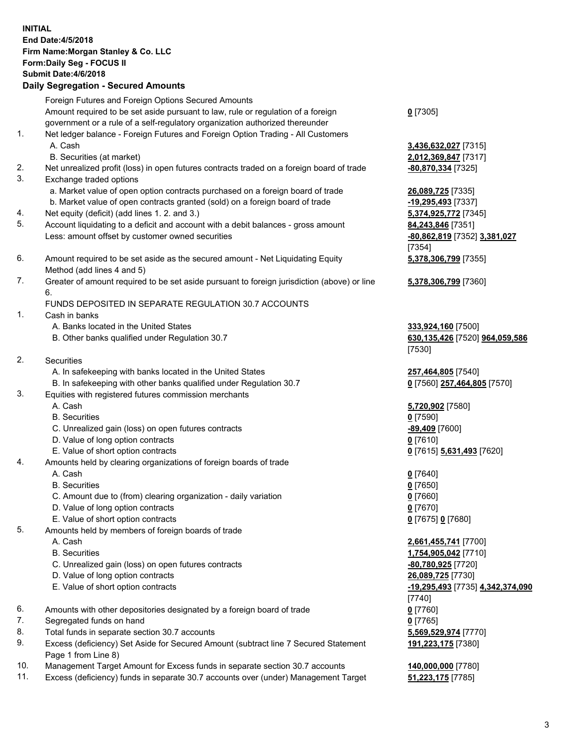## **INITIAL End Date:4/5/2018 Firm Name:Morgan Stanley & Co. LLC Form:Daily Seg - FOCUS II Submit Date:4/6/2018 Daily Segregation - Secured Amounts** Foreign Futures and Foreign Options Secured Amounts Amount required to be set aside pursuant to law, rule or regulation of a foreign government or a rule of a self-regulatory organization authorized thereunder 1. Net ledger balance - Foreign Futures and Foreign Option Trading - All Customers A. Cash **3,436,632,027** [7315] B. Securities (at market) **2,012,369,847** [7317] 2. Net unrealized profit (loss) in open futures contracts traded on a foreign board of trade **-80,870,334** [7325] 3. Exchange traded options a. Market value of open option contracts purchased on a foreign board of trade **26,089,725** [7335] b. Market value of open contracts granted (sold) on a foreign board of trade **-19,295,493** [7337] 4. Net equity (deficit) (add lines 1. 2. and 3.) **5,374,925,772** [7345] 5. Account liquidating to a deficit and account with a debit balances - gross amount **84,243,846** [7351] Less: amount offset by customer owned securities **-80,862,819** [7352] **3,381,027** 6. Amount required to be set aside as the secured amount - Net Liquidating Equity Method (add lines 4 and 5) 7. Greater of amount required to be set aside pursuant to foreign jurisdiction (above) or line 6. FUNDS DEPOSITED IN SEPARATE REGULATION 30.7 ACCOUNTS 1. Cash in banks A. Banks located in the United States **333,924,160** [7500] B. Other banks qualified under Regulation 30.7 **630,135,426** [7520] **964,059,586** 2. Securities A. In safekeeping with banks located in the United States **257,464,805** [7540] B. In safekeeping with other banks qualified under Regulation 30.7 **0** [7560] **257,464,805** [7570] 3. Equities with registered futures commission merchants A. Cash **5,720,902** [7580] B. Securities **0** [7590] C. Unrealized gain (loss) on open futures contracts **-89,409** [7600] D. Value of long option contracts **0** [7610] E. Value of short option contracts **0** [7615] **5,631,493** [7620] 4. Amounts held by clearing organizations of foreign boards of trade A. Cash **0** [7640] B. Securities **0** [7650] C. Amount due to (from) clearing organization - daily variation **0** [7660] D. Value of long option contracts **0** [7670] E. Value of short option contracts **0** [7675] **0** [7680] 5. Amounts held by members of foreign boards of trade A. Cash **2,661,455,741** [7700] B. Securities **1,754,905,042** [7710] C. Unrealized gain (loss) on open futures contracts **-80,780,925** [7720] D. Value of long option contracts **26,089,725** [7730]

- E. Value of short option contracts **-19,295,493** [7735] **4,342,374,090**
- 6. Amounts with other depositories designated by a foreign board of trade **0** [7760]
- 7. Segregated funds on hand **0** [7765]
- 8. Total funds in separate section 30.7 accounts **5,569,529,974** [7770]
- 9. Excess (deficiency) Set Aside for Secured Amount (subtract line 7 Secured Statement Page 1 from Line 8)
- 10. Management Target Amount for Excess funds in separate section 30.7 accounts **140,000,000** [7780]
- 11. Excess (deficiency) funds in separate 30.7 accounts over (under) Management Target **51,223,175** [7785]

[7354] **5,378,306,799** [7355] **5,378,306,799** [7360]

**0** [7305]

[7530]

[7740] **191,223,175** [7380]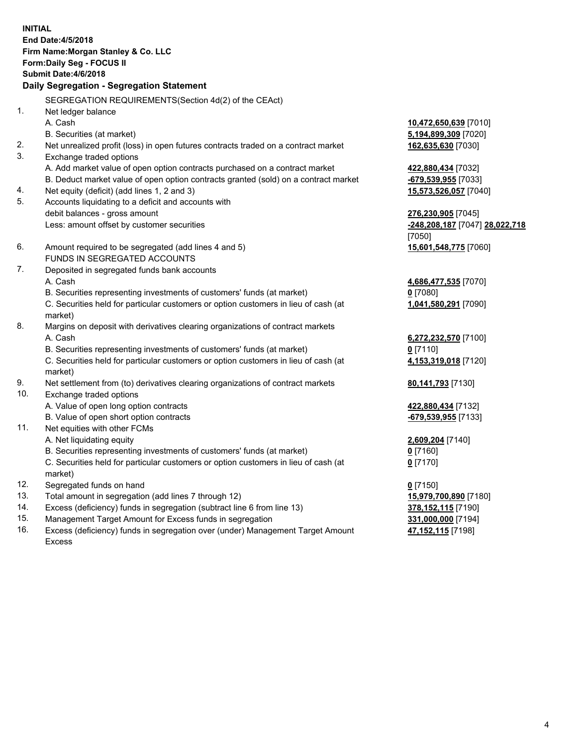**INITIAL End Date:4/5/2018 Firm Name:Morgan Stanley & Co. LLC Form:Daily Seg - FOCUS II Submit Date:4/6/2018 Daily Segregation - Segregation Statement** SEGREGATION REQUIREMENTS(Section 4d(2) of the CEAct) 1. Net ledger balance A. Cash **10,472,650,639** [7010] B. Securities (at market) **5,194,899,309** [7020] 2. Net unrealized profit (loss) in open futures contracts traded on a contract market **162,635,630** [7030] 3. Exchange traded options A. Add market value of open option contracts purchased on a contract market **422,880,434** [7032] B. Deduct market value of open option contracts granted (sold) on a contract market **-679,539,955** [7033] 4. Net equity (deficit) (add lines 1, 2 and 3) **15,573,526,057** [7040] 5. Accounts liquidating to a deficit and accounts with debit balances - gross amount **276,230,905** [7045] Less: amount offset by customer securities **-248,208,187** [7047] **28,022,718** [7050] 6. Amount required to be segregated (add lines 4 and 5) **15,601,548,775** [7060] FUNDS IN SEGREGATED ACCOUNTS 7. Deposited in segregated funds bank accounts A. Cash **4,686,477,535** [7070] B. Securities representing investments of customers' funds (at market) **0** [7080] C. Securities held for particular customers or option customers in lieu of cash (at market) **1,041,580,291** [7090] 8. Margins on deposit with derivatives clearing organizations of contract markets A. Cash **6,272,232,570** [7100] B. Securities representing investments of customers' funds (at market) **0** [7110] C. Securities held for particular customers or option customers in lieu of cash (at market) **4,153,319,018** [7120] 9. Net settlement from (to) derivatives clearing organizations of contract markets **80,141,793** [7130] 10. Exchange traded options A. Value of open long option contracts **422,880,434** [7132] B. Value of open short option contracts **and the set of open short option contracts -679,539,955** [7133] 11. Net equities with other FCMs A. Net liquidating equity **2,609,204** [7140] B. Securities representing investments of customers' funds (at market) **0** [7160] C. Securities held for particular customers or option customers in lieu of cash (at market) **0** [7170] 12. Segregated funds on hand **0** [7150] 13. Total amount in segregation (add lines 7 through 12) **15,979,700,890** [7180] 14. Excess (deficiency) funds in segregation (subtract line 6 from line 13) **378,152,115** [7190]

- 15. Management Target Amount for Excess funds in segregation **331,000,000** [7194]
- 16. Excess (deficiency) funds in segregation over (under) Management Target Amount Excess

**47,152,115** [7198]